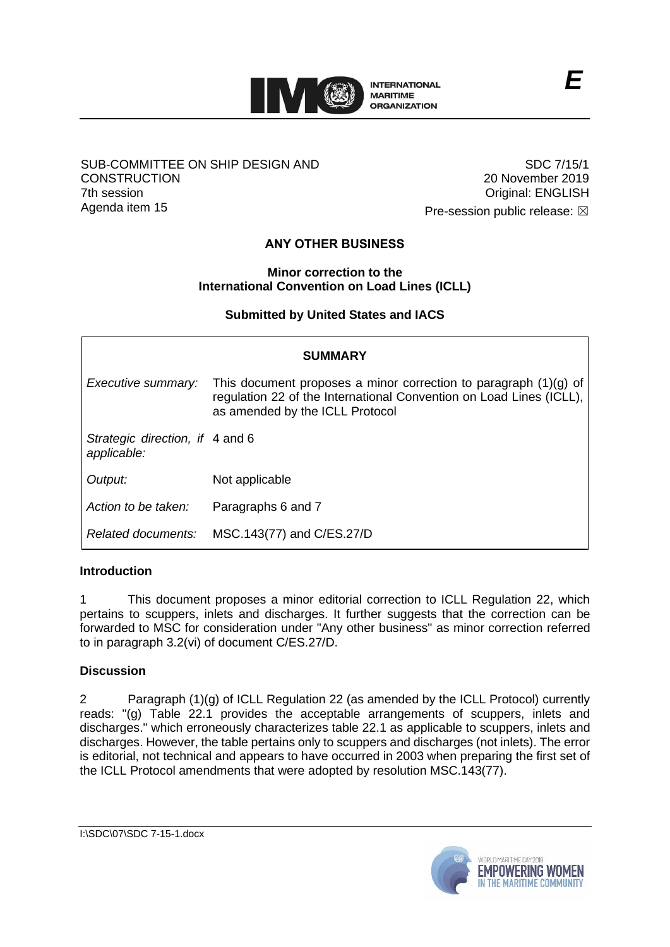

### SUB-COMMITTEE ON SHIP DESIGN AND **CONSTRUCTION** 7th session Agenda item 15

SDC 7/15/1 20 November 2019 Original: ENGLISH

Pre-session public release:  $\boxtimes$ 

# **ANY OTHER BUSINESS**

### **Minor correction to the International Convention on Load Lines (ICLL)**

## **Submitted by United States and IACS**

| <b>SUMMARY</b>                                 |                                                                                                                                                                              |
|------------------------------------------------|------------------------------------------------------------------------------------------------------------------------------------------------------------------------------|
| Executive summary:                             | This document proposes a minor correction to paragraph $(1)(g)$ of<br>regulation 22 of the International Convention on Load Lines (ICLL),<br>as amended by the ICLL Protocol |
| Strategic direction, if 4 and 6<br>applicable: |                                                                                                                                                                              |
| Output:                                        | Not applicable                                                                                                                                                               |
| Action to be taken:                            | Paragraphs 6 and 7                                                                                                                                                           |
| Related documents:                             | MSC.143(77) and C/ES.27/D                                                                                                                                                    |

## **Introduction**

1 This document proposes a minor editorial correction to ICLL Regulation 22, which pertains to scuppers, inlets and discharges. It further suggests that the correction can be forwarded to MSC for consideration under "Any other business" as minor correction referred to in paragraph 3.2(vi) of document C/ES.27/D.

## **Discussion**

2 Paragraph (1)(g) of ICLL Regulation 22 (as amended by the ICLL Protocol) currently reads: "(g) Table 22.1 provides the acceptable arrangements of scuppers, inlets and discharges." which erroneously characterizes table 22.1 as applicable to scuppers, inlets and discharges. However, the table pertains only to scuppers and discharges (not inlets). The error is editorial, not technical and appears to have occurred in 2003 when preparing the first set of the ICLL Protocol amendments that were adopted by resolution MSC.143(77).